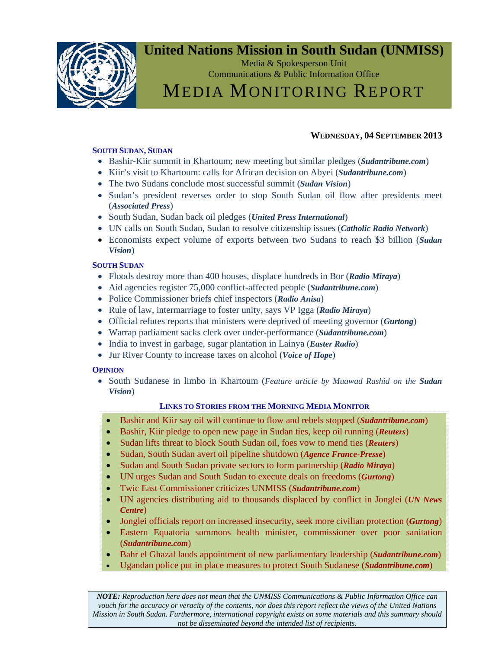

### **United Nations Mission in South Sudan (UNMISS)**

Media & Spokesperson Unit Communications & Public Information Office

## MEDIA MONITORING REPORT

#### **WEDNESDAY, 04 SEPTEMBER 2013**

#### **SOUTH SUDAN, SUDAN**

- Bashir-Kiir summit in Khartoum; new meeting but similar pledges (*Sudantribune.com*)
- Kiir's visit to Khartoum: calls for African decision on Abyei (*Sudantribune.com*)
- The two Sudans conclude most successful summit (*Sudan Vision*)
- Sudan's president reverses order to stop South Sudan oil flow after presidents meet (*Associated Press*)
- South Sudan, Sudan back oil pledges (*United Press International*)
- UN calls on South Sudan, Sudan to resolve citizenship issues (*Catholic Radio Network*)
- Economists expect volume of exports between two Sudans to reach \$3 billion (*Sudan Vision*)

#### **SOUTH SUDAN**

- Floods destroy more than 400 houses, displace hundreds in Bor (*Radio Miraya*)
- Aid agencies register 75,000 conflict-affected people (*Sudantribune.com*)
- Police Commissioner briefs chief inspectors (*Radio Anisa*)
- Rule of law, intermarriage to foster unity, says VP Igga (*Radio Miraya*)
- Official refutes reports that ministers were deprived of meeting governor (*Gurtong*)
- Warrap parliament sacks clerk over under-performance (*Sudantribune.com*)
- India to invest in garbage, sugar plantation in Lainya (*Easter Radio*)
- Jur River County to increase taxes on alcohol (*Voice of Hope*)

#### **OPINION**

• South Sudanese in limbo in Khartoum (*Feature article by Muawad Rashid on the Sudan Vision*)

#### **LINKS TO STORIES FROM THE MORNING MEDIA MONITOR**

- Bashir and Kiir say oil will continue to flow and rebels stopped (*Sudantribune.com*)
- Bashir, Kiir pledge to open new page in Sudan ties, keep oil running (*Reuters*)
- Sudan lifts threat to block South Sudan oil, foes vow to mend ties (*Reuters*)
- Sudan, South Sudan avert oil pipeline shutdown (*Agence France-Presse*)
- Sudan and South Sudan private sectors to form partnership (*Radio Miraya*)
- UN urges Sudan and South Sudan to execute deals on freedoms (*Gurtong*)
- Twic East Commissioner criticizes UNMISS (*Sudantribune.com*)
- UN agencies distributing aid to thousands displaced by conflict in Jonglei (*UN News Centre*)
- Jonglei officials report on increased insecurity, seek more civilian protection (*Gurtong*)
- Eastern Equatoria summons health minister, commissioner over poor sanitation (*Sudantribune.com*)
- Bahr el Ghazal lauds appointment of new parliamentary leadership (*Sudantribune.com*)
- Ugandan police put in place measures to protect South Sudanese (*Sudantribune.com*)

*NOTE: Reproduction here does not mean that the UNMISS Communications & Public Information Office can vouch for the accuracy or veracity of the contents, nor does this report reflect the views of the United Nations Mission in South Sudan. Furthermore, international copyright exists on some materials and this summary should not be disseminated beyond the intended list of recipients.*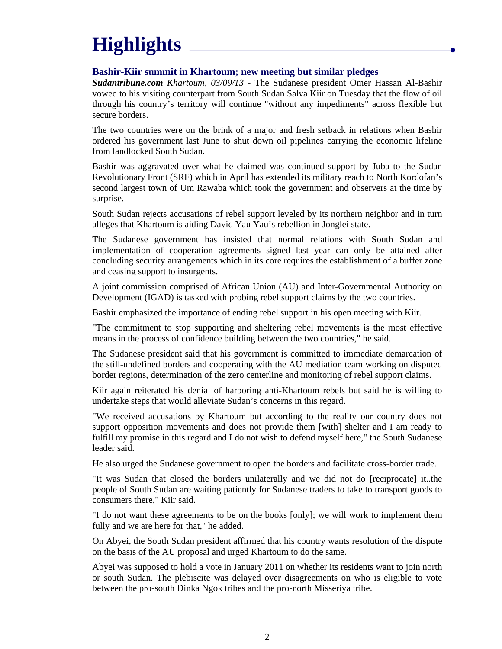# **Highlights**

#### **Bashir-Kiir summit in Khartoum; new meeting but similar pledges**

*Sudantribune.com Khartoum, 03/09/13* - The Sudanese president Omer Hassan Al-Bashir vowed to his visiting counterpart from South Sudan Salva Kiir on Tuesday that the flow of oil through his country's territory will continue "without any impediments" across flexible but secure borders.

The two countries were on the brink of a major and fresh setback in relations when Bashir ordered his government last June to shut down oil pipelines carrying the economic lifeline from landlocked South Sudan.

Bashir was aggravated over what he claimed was continued support by Juba to the Sudan Revolutionary Front (SRF) which in April has extended its military reach to North Kordofan's second largest town of Um Rawaba which took the government and observers at the time by surprise.

South Sudan rejects accusations of rebel support leveled by its northern neighbor and in turn alleges that Khartoum is aiding David Yau Yau's rebellion in Jonglei state.

The Sudanese government has insisted that normal relations with South Sudan and implementation of cooperation agreements signed last year can only be attained after concluding security arrangements which in its core requires the establishment of a buffer zone and ceasing support to insurgents.

A joint commission comprised of African Union (AU) and Inter-Governmental Authority on Development (IGAD) is tasked with probing rebel support claims by the two countries.

Bashir emphasized the importance of ending rebel support in his open meeting with Kiir.

"The commitment to stop supporting and sheltering rebel movements is the most effective means in the process of confidence building between the two countries," he said.

The Sudanese president said that his government is committed to immediate demarcation of the still-undefined borders and cooperating with the AU mediation team working on disputed border regions, determination of the zero centerline and monitoring of rebel support claims.

Kiir again reiterated his denial of harboring anti-Khartoum rebels but said he is willing to undertake steps that would alleviate Sudan's concerns in this regard.

"We received accusations by Khartoum but according to the reality our country does not support opposition movements and does not provide them [with] shelter and I am ready to fulfill my promise in this regard and I do not wish to defend myself here," the South Sudanese leader said.

He also urged the Sudanese government to open the borders and facilitate cross-border trade.

"It was Sudan that closed the borders unilaterally and we did not do [reciprocate] it..the people of South Sudan are waiting patiently for Sudanese traders to take to transport goods to consumers there," Kiir said.

"I do not want these agreements to be on the books [only]; we will work to implement them fully and we are here for that," he added.

On Abyei, the South Sudan president affirmed that his country wants resolution of the dispute on the basis of the AU proposal and urged Khartoum to do the same.

Abyei was supposed to hold a vote in January 2011 on whether its residents want to join north or south Sudan. The plebiscite was delayed over disagreements on who is eligible to vote between the pro-south Dinka Ngok tribes and the pro-north Misseriya tribe.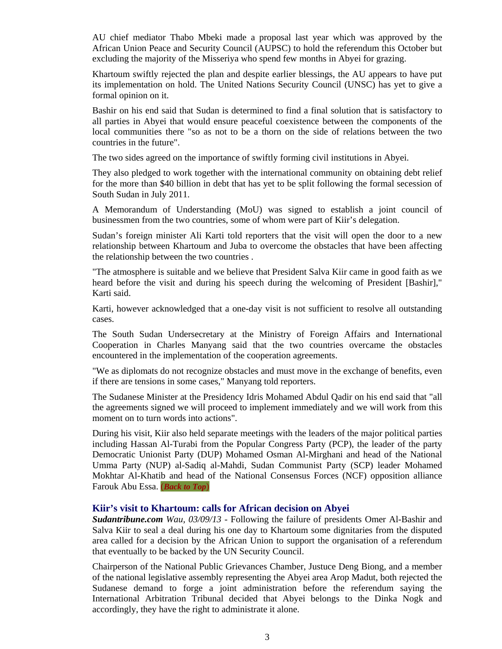AU chief mediator Thabo Mbeki made a proposal last year which was approved by the African Union Peace and Security Council (AUPSC) to hold the referendum this October but excluding the majority of the Misseriya who spend few months in Abyei for grazing.

Khartoum swiftly rejected the plan and despite earlier blessings, the AU appears to have put its implementation on hold. The United Nations Security Council (UNSC) has yet to give a formal opinion on it.

Bashir on his end said that Sudan is determined to find a final solution that is satisfactory to all parties in Abyei that would ensure peaceful coexistence between the components of the local communities there "so as not to be a thorn on the side of relations between the two countries in the future".

The two sides agreed on the importance of swiftly forming civil institutions in Abyei.

They also pledged to work together with the international community on obtaining debt relief for the more than \$40 billion in debt that has yet to be split following the formal secession of South Sudan in July 2011.

A Memorandum of Understanding (MoU) was signed to establish a joint council of businessmen from the two countries, some of whom were part of Kiir's delegation.

Sudan's foreign minister Ali Karti told reporters that the visit will open the door to a new relationship between Khartoum and Juba to overcome the obstacles that have been affecting the relationship between the two countries .

"The atmosphere is suitable and we believe that President Salva Kiir came in good faith as we heard before the visit and during his speech during the welcoming of President [Bashir]," Karti said.

Karti, however acknowledged that a one-day visit is not sufficient to resolve all outstanding cases.

The South Sudan Undersecretary at the Ministry of Foreign Affairs and International Cooperation in Charles Manyang said that the two countries overcame the obstacles encountered in the implementation of the cooperation agreements.

"We as diplomats do not recognize obstacles and must move in the exchange of benefits, even if there are tensions in some cases," Manyang told reporters.

The Sudanese Minister at the Presidency Idris Mohamed Abdul Qadir on his end said that "all the agreements signed we will proceed to implement immediately and we will work from this moment on to turn words into actions".

During his visit, Kiir also held separate meetings with the leaders of the major political parties including Hassan Al-Turabi from the Popular Congress Party (PCP), the leader of the party Democratic Unionist Party (DUP) Mohamed Osman Al-Mirghani and head of the National Umma Party (NUP) al-Sadiq al-Mahdi, Sudan Communist Party (SCP) leader Mohamed Mokhtar Al-Khatib and head of the National Consensus Forces (NCF) opposition alliance Farouk Abu Essa. (*Back to Top*)

#### **Kiir's visit to Khartoum: calls for African decision on Abyei**

*Sudantribune.com Wau, 03/09/13* - Following the failure of presidents Omer Al-Bashir and Salva Kiir to seal a deal during his one day to Khartoum some dignitaries from the disputed area called for a decision by the African Union to support the organisation of a referendum that eventually to be backed by the UN Security Council.

Chairperson of the National Public Grievances Chamber, Justuce Deng Biong, and a member of the national legislative assembly representing the Abyei area Arop Madut, both rejected the Sudanese demand to forge a joint administration before the referendum saying the International Arbitration Tribunal decided that Abyei belongs to the Dinka Nogk and accordingly, they have the right to administrate it alone.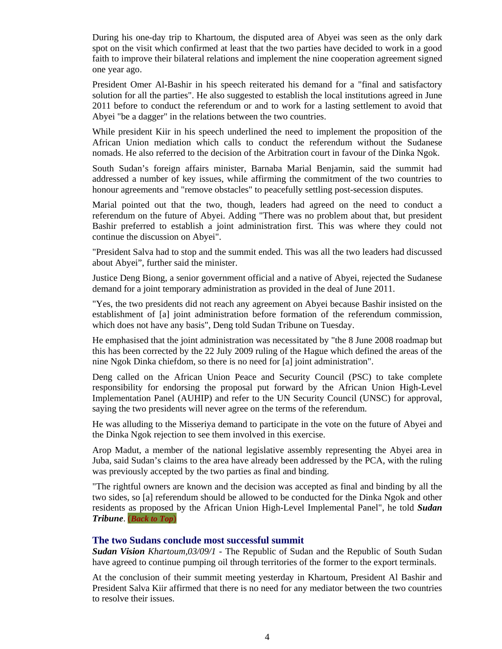During his one-day trip to Khartoum, the disputed area of Abyei was seen as the only dark spot on the visit which confirmed at least that the two parties have decided to work in a good faith to improve their bilateral relations and implement the nine cooperation agreement signed one year ago.

President Omer Al-Bashir in his speech reiterated his demand for a "final and satisfactory solution for all the parties". He also suggested to establish the local institutions agreed in June 2011 before to conduct the referendum or and to work for a lasting settlement to avoid that Abyei "be a dagger" in the relations between the two countries.

While president Kiir in his speech underlined the need to implement the proposition of the African Union mediation which calls to conduct the referendum without the Sudanese nomads. He also referred to the decision of the Arbitration court in favour of the Dinka Ngok.

South Sudan's foreign affairs minister, Barnaba Marial Benjamin, said the summit had addressed a number of key issues, while affirming the commitment of the two countries to honour agreements and "remove obstacles" to peacefully settling post-secession disputes.

Marial pointed out that the two, though, leaders had agreed on the need to conduct a referendum on the future of Abyei. Adding "There was no problem about that, but president Bashir preferred to establish a joint administration first. This was where they could not continue the discussion on Abyei".

"President Salva had to stop and the summit ended. This was all the two leaders had discussed about Abyei", further said the minister.

Justice Deng Biong, a senior government official and a native of Abyei, rejected the Sudanese demand for a joint temporary administration as provided in the deal of June 2011.

"Yes, the two presidents did not reach any agreement on Abyei because Bashir insisted on the establishment of [a] joint administration before formation of the referendum commission, which does not have any basis", Deng told Sudan Tribune on Tuesday.

He emphasised that the joint administration was necessitated by "the 8 June 2008 roadmap but this has been corrected by the 22 July 2009 ruling of the Hague which defined the areas of the nine Ngok Dinka chiefdom, so there is no need for [a] joint administration".

Deng called on the African Union Peace and Security Council (PSC) to take complete responsibility for endorsing the proposal put forward by the African Union High-Level Implementation Panel (AUHIP) and refer to the UN Security Council (UNSC) for approval, saying the two presidents will never agree on the terms of the referendum.

He was alluding to the Misseriya demand to participate in the vote on the future of Abyei and the Dinka Ngok rejection to see them involved in this exercise.

Arop Madut, a member of the national legislative assembly representing the Abyei area in Juba, said Sudan's claims to the area have already been addressed by the PCA, with the ruling was previously accepted by the two parties as final and binding.

"The rightful owners are known and the decision was accepted as final and binding by all the two sides, so [a] referendum should be allowed to be conducted for the Dinka Ngok and other residents as proposed by the African Union High-Level Implemental Panel", he told *Sudan Tribune*. (*Back to Top*)

#### **The two Sudans conclude most successful summit**

*Sudan Vision Khartoum,03/09/1* - The Republic of Sudan and the Republic of South Sudan have agreed to continue pumping oil through territories of the former to the export terminals.

At the conclusion of their summit meeting yesterday in Khartoum, President Al Bashir and President Salva Kiir affirmed that there is no need for any mediator between the two countries to resolve their issues.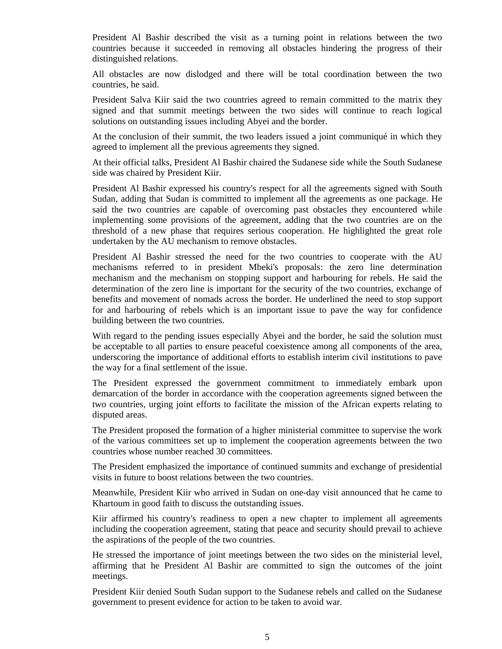President Al Bashir described the visit as a turning point in relations between the two countries because it succeeded in removing all obstacles hindering the progress of their distinguished relations.

All obstacles are now dislodged and there will be total coordination between the two countries, he said.

President Salva Kiir said the two countries agreed to remain committed to the matrix they signed and that summit meetings between the two sides will continue to reach logical solutions on outstanding issues including Abyei and the border.

At the conclusion of their summit, the two leaders issued a joint communiqué in which they agreed to implement all the previous agreements they signed.

At their official talks, President Al Bashir chaired the Sudanese side while the South Sudanese side was chaired by President Kiir.

President Al Bashir expressed his country's respect for all the agreements signed with South Sudan, adding that Sudan is committed to implement all the agreements as one package. He said the two countries are capable of overcoming past obstacles they encountered while implementing some provisions of the agreement, adding that the two countries are on the threshold of a new phase that requires serious cooperation. He highlighted the great role undertaken by the AU mechanism to remove obstacles.

President Al Bashir stressed the need for the two countries to cooperate with the AU mechanisms referred to in president Mbeki's proposals: the zero line determination mechanism and the mechanism on stopping support and harbouring for rebels. He said the determination of the zero line is important for the security of the two countries, exchange of benefits and movement of nomads across the border. He underlined the need to stop support for and harbouring of rebels which is an important issue to pave the way for confidence building between the two countries.

With regard to the pending issues especially Abyei and the border, he said the solution must be acceptable to all parties to ensure peaceful coexistence among all components of the area, underscoring the importance of additional efforts to establish interim civil institutions to pave the way for a final settlement of the issue.

The President expressed the government commitment to immediately embark upon demarcation of the border in accordance with the cooperation agreements signed between the two countries, urging joint efforts to facilitate the mission of the African experts relating to disputed areas.

The President proposed the formation of a higher ministerial committee to supervise the work of the various committees set up to implement the cooperation agreements between the two countries whose number reached 30 committees.

The President emphasized the importance of continued summits and exchange of presidential visits in future to boost relations between the two countries.

Meanwhile, President Kiir who arrived in Sudan on one-day visit announced that he came to Khartoum in good faith to discuss the outstanding issues.

Kiir affirmed his country's readiness to open a new chapter to implement all agreements including the cooperation agreement, stating that peace and security should prevail to achieve the aspirations of the people of the two countries.

He stressed the importance of joint meetings between the two sides on the ministerial level, affirming that he President Al Bashir are committed to sign the outcomes of the joint meetings.

President Kiir denied South Sudan support to the Sudanese rebels and called on the Sudanese government to present evidence for action to be taken to avoid war.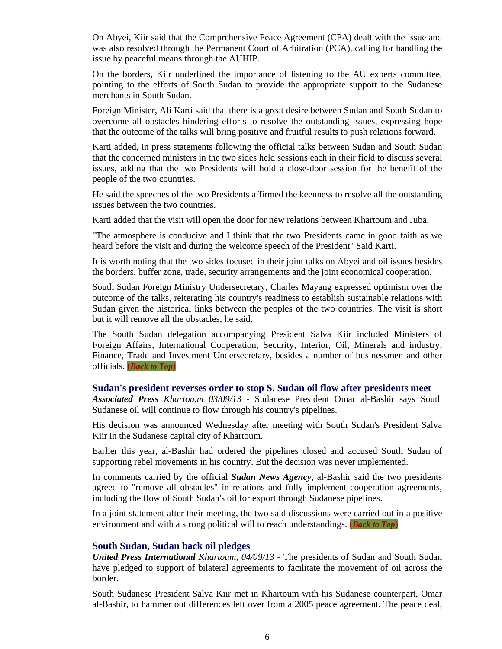On Abyei, Kiir said that the Comprehensive Peace Agreement (CPA) dealt with the issue and was also resolved through the Permanent Court of Arbitration (PCA), calling for handling the issue by peaceful means through the AUHIP.

On the borders, Kiir underlined the importance of listening to the AU experts committee, pointing to the efforts of South Sudan to provide the appropriate support to the Sudanese merchants in South Sudan.

Foreign Minister, Ali Karti said that there is a great desire between Sudan and South Sudan to overcome all obstacles hindering efforts to resolve the outstanding issues, expressing hope that the outcome of the talks will bring positive and fruitful results to push relations forward.

Karti added, in press statements following the official talks between Sudan and South Sudan that the concerned ministers in the two sides held sessions each in their field to discuss several issues, adding that the two Presidents will hold a close-door session for the benefit of the people of the two countries.

He said the speeches of the two Presidents affirmed the keenness to resolve all the outstanding issues between the two countries.

Karti added that the visit will open the door for new relations between Khartoum and Juba.

"The atmosphere is conducive and I think that the two Presidents came in good faith as we heard before the visit and during the welcome speech of the President" Said Karti.

It is worth noting that the two sides focused in their joint talks on Abyei and oil issues besides the borders, buffer zone, trade, security arrangements and the joint economical cooperation.

South Sudan Foreign Ministry Undersecretary, Charles Mayang expressed optimism over the outcome of the talks, reiterating his country's readiness to establish sustainable relations with Sudan given the historical links between the peoples of the two countries. The visit is short but it will remove all the obstacles, he said.

The South Sudan delegation accompanying President Salva Kiir included Ministers of Foreign Affairs, International Cooperation, Security, Interior, Oil, Minerals and industry, Finance, Trade and Investment Undersecretary, besides a number of businessmen and other officials. (*Back to Top*)

#### **Sudan's president reverses order to stop S. Sudan oil flow after presidents meet**

*Associated Press Khartou,m 03/09/13* - Sudanese President Omar al-Bashir says South Sudanese oil will continue to flow through his country's pipelines.

His decision was announced Wednesday after meeting with South Sudan's President Salva Kiir in the Sudanese capital city of Khartoum.

Earlier this year, al-Bashir had ordered the pipelines closed and accused South Sudan of supporting rebel movements in his country. But the decision was never implemented.

In comments carried by the official *Sudan News Agency*, al-Bashir said the two presidents agreed to "remove all obstacles" in relations and fully implement cooperation agreements, including the flow of South Sudan's oil for export through Sudanese pipelines.

In a joint statement after their meeting, the two said discussions were carried out in a positive environment and with a strong political will to reach understandings. (*Back to Top*)

#### **South Sudan, Sudan back oil pledges**

*United Press International Khartoum, 04/09/13* - The presidents of Sudan and South Sudan have pledged to support of bilateral agreements to facilitate the movement of oil across the border.

South Sudanese President Salva Kiir met in Khartoum with his Sudanese counterpart, Omar al-Bashir, to hammer out differences left over from a 2005 peace agreement. The peace deal,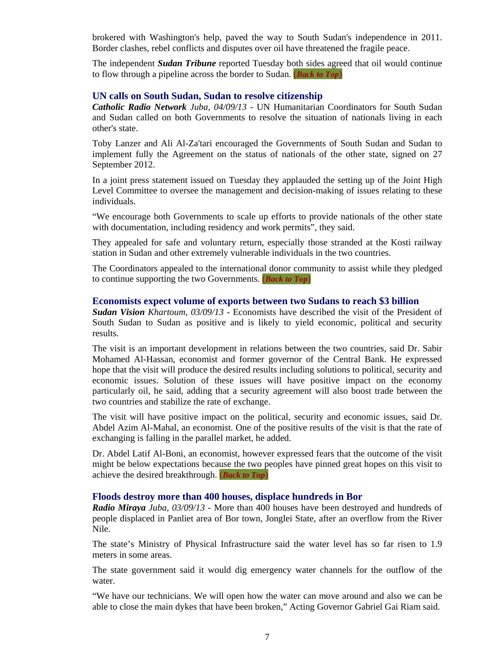brokered with Washington's help, paved the way to South Sudan's independence in 2011. Border clashes, rebel conflicts and disputes over oil have threatened the fragile peace.

The independent *Sudan Tribune* reported Tuesday both sides agreed that oil would continue to flow through a pipeline across the border to Sudan. (*Back to Top*)

#### **UN calls on South Sudan, Sudan to resolve citizenship**

*Catholic Radio Network Juba, 04/09/13* - UN Humanitarian Coordinators for South Sudan and Sudan called on both Governments to resolve the situation of nationals living in each other's state.

Toby Lanzer and Ali Al-Za'tari encouraged the Governments of South Sudan and Sudan to implement fully the Agreement on the status of nationals of the other state, signed on 27 September 2012.

In a joint press statement issued on Tuesday they applauded the setting up of the Joint High Level Committee to oversee the management and decision-making of issues relating to these individuals.

"We encourage both Governments to scale up efforts to provide nationals of the other state with documentation, including residency and work permits", they said.

They appealed for safe and voluntary return, especially those stranded at the Kosti railway station in Sudan and other extremely vulnerable individuals in the two countries.

The Coordinators appealed to the international donor community to assist while they pledged to continue supporting the two Governments. (*Back to Top*)

#### **Economists expect volume of exports between two Sudans to reach \$3 billion**

*Sudan Vision Khartoum, 03/09/13* - Economists have described the visit of the President of South Sudan to Sudan as positive and is likely to yield economic, political and security results.

The visit is an important development in relations between the two countries, said Dr. Sabir Mohamed Al-Hassan, economist and former governor of the Central Bank. He expressed hope that the visit will produce the desired results including solutions to political, security and economic issues. Solution of these issues will have positive impact on the economy particularly oil, he said, adding that a security agreement will also boost trade between the two countries and stabilize the rate of exchange.

The visit will have positive impact on the political, security and economic issues, said Dr. Abdel Azim Al-Mahal, an economist. One of the positive results of the visit is that the rate of exchanging is falling in the parallel market, he added.

Dr. Abdel Latif Al-Boni, an economist, however expressed fears that the outcome of the visit might be below expectations because the two peoples have pinned great hopes on this visit to achieve the desired breakthrough. (*Back to Top*)

#### **Floods destroy more than 400 houses, displace hundreds in Bor**

*Radio Miraya Juba, 03/09/13* - More than 400 houses have been destroyed and hundreds of people displaced in Panliet area of Bor town, Jonglei State, after an overflow from the River Nile.

The state's Ministry of Physical Infrastructure said the water level has so far risen to 1.9 meters in some areas.

The state government said it would dig emergency water channels for the outflow of the water.

"We have our technicians. We will open how the water can move around and also we can be able to close the main dykes that have been broken," Acting Governor Gabriel Gai Riam said.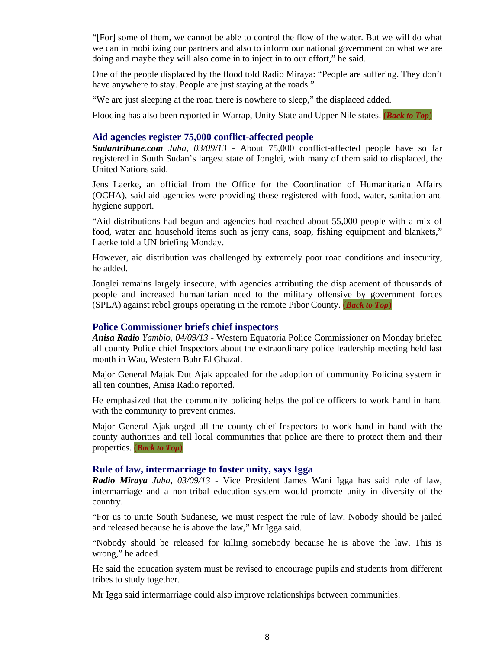"[For] some of them, we cannot be able to control the flow of the water. But we will do what we can in mobilizing our partners and also to inform our national government on what we are doing and maybe they will also come in to inject in to our effort," he said.

One of the people displaced by the flood told Radio Miraya: "People are suffering. They don't have anywhere to stay. People are just staying at the roads."

"We are just sleeping at the road there is nowhere to sleep," the displaced added.

Flooding has also been reported in Warrap, Unity State and Upper Nile states. (*Back to Top*)

#### **Aid agencies register 75,000 conflict-affected people**

*Sudantribune.com Juba, 03/09/13* - About 75,000 conflict-affected people have so far registered in South Sudan's largest state of Jonglei, with many of them said to displaced, the United Nations said.

Jens Laerke, an official from the Office for the Coordination of Humanitarian Affairs (OCHA), said aid agencies were providing those registered with food, water, sanitation and hygiene support.

"Aid distributions had begun and agencies had reached about 55,000 people with a mix of food, water and household items such as jerry cans, soap, fishing equipment and blankets," Laerke told a UN briefing Monday.

However, aid distribution was challenged by extremely poor road conditions and insecurity, he added.

Jonglei remains largely insecure, with agencies attributing the displacement of thousands of people and increased humanitarian need to the military offensive by government forces (SPLA) against rebel groups operating in the remote Pibor County. (*Back to Top*)

#### **Police Commissioner briefs chief inspectors**

*Anisa Radio Yambio, 04/09/13* - Western Equatoria Police Commissioner on Monday briefed all county Police chief Inspectors about the extraordinary police leadership meeting held last month in Wau, Western Bahr El Ghazal.

Major General Majak Dut Ajak appealed for the adoption of community Policing system in all ten counties, Anisa Radio reported.

He emphasized that the community policing helps the police officers to work hand in hand with the community to prevent crimes.

Major General Ajak urged all the county chief Inspectors to work hand in hand with the county authorities and tell local communities that police are there to protect them and their properties. (*Back to Top*)

#### **Rule of law, intermarriage to foster unity, says Igga**

*Radio Miraya Juba, 03/09/13* - Vice President James Wani Igga has said rule of law, intermarriage and a non-tribal education system would promote unity in diversity of the country.

"For us to unite South Sudanese, we must respect the rule of law. Nobody should be jailed and released because he is above the law," Mr Igga said.

"Nobody should be released for killing somebody because he is above the law. This is wrong," he added.

He said the education system must be revised to encourage pupils and students from different tribes to study together.

Mr Igga said intermarriage could also improve relationships between communities.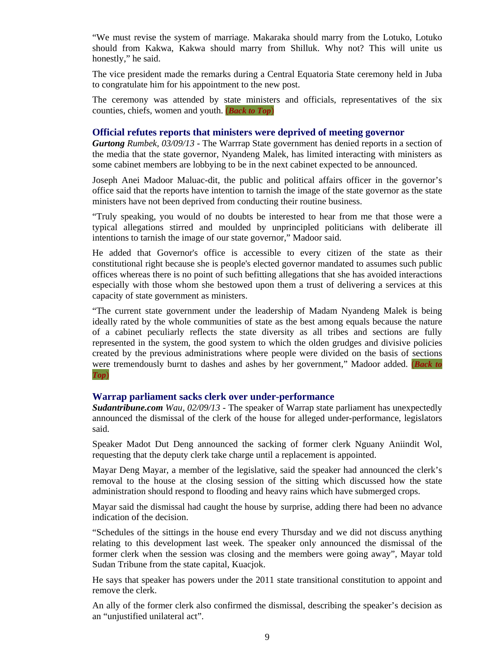"We must revise the system of marriage. Makaraka should marry from the Lotuko, Lotuko should from Kakwa, Kakwa should marry from Shilluk. Why not? This will unite us honestly," he said.

The vice president made the remarks during a Central Equatoria State ceremony held in Juba to congratulate him for his appointment to the new post.

The ceremony was attended by state ministers and officials, representatives of the six counties, chiefs, women and youth. (*Back to Top*)

#### **Official refutes reports that ministers were deprived of meeting governor**

*Gurtong Rumbek, 03/09/13* - The Warrrap State government has denied reports in a section of the media that the state governor, Nyandeng Malek, has limited interacting with ministers as some cabinet members are lobbying to be in the next cabinet expected to be announced.

Joseph Anei Madoor Maluac-dit, the public and political affairs officer in the governor's office said that the reports have intention to tarnish the image of the state governor as the state ministers have not been deprived from conducting their routine business.

"Truly speaking, you would of no doubts be interested to hear from me that those were a typical allegations stirred and moulded by unprincipled politicians with deliberate ill intentions to tarnish the image of our state governor," Madoor said.

He added that Governor's office is accessible to every citizen of the state as their constitutional right because she is people's elected governor mandated to assumes such public offices whereas there is no point of such befitting allegations that she has avoided interactions especially with those whom she bestowed upon them a trust of delivering a services at this capacity of state government as ministers.

"The current state government under the leadership of Madam Nyandeng Malek is being ideally rated by the whole communities of state as the best among equals because the nature of a cabinet peculiarly reflects the state diversity as all tribes and sections are fully represented in the system, the good system to which the olden grudges and divisive policies created by the previous administrations where people were divided on the basis of sections were tremendously burnt to dashes and ashes by her government," Madoor added. (*Back to Top*)

#### **Warrap parliament sacks clerk over under-performance**

*Sudantribune.com Wau, 02/09/13* - The speaker of Warrap state parliament has unexpectedly announced the dismissal of the clerk of the house for alleged under-performance, legislators said.

Speaker Madot Dut Deng announced the sacking of former clerk Nguany Aniindit Wol, requesting that the deputy clerk take charge until a replacement is appointed.

Mayar Deng Mayar, a member of the legislative, said the speaker had announced the clerk's removal to the house at the closing session of the sitting which discussed how the state administration should respond to flooding and heavy rains which have submerged crops.

Mayar said the dismissal had caught the house by surprise, adding there had been no advance indication of the decision.

"Schedules of the sittings in the house end every Thursday and we did not discuss anything relating to this development last week. The speaker only announced the dismissal of the former clerk when the session was closing and the members were going away", Mayar told Sudan Tribune from the state capital, Kuacjok.

He says that speaker has powers under the 2011 state transitional constitution to appoint and remove the clerk.

An ally of the former clerk also confirmed the dismissal, describing the speaker's decision as an "unjustified unilateral act".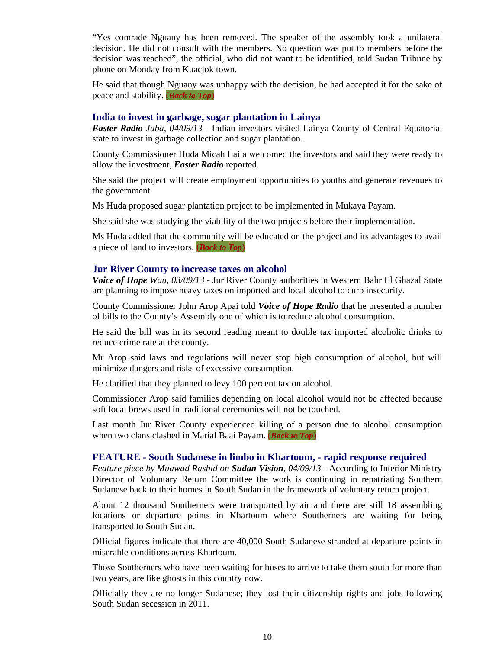"Yes comrade Nguany has been removed. The speaker of the assembly took a unilateral decision. He did not consult with the members. No question was put to members before the decision was reached", the official, who did not want to be identified, told Sudan Tribune by phone on Monday from Kuacjok town.

He said that though Nguany was unhappy with the decision, he had accepted it for the sake of peace and stability. (*Back to Top*)

#### **India to invest in garbage, sugar plantation in Lainya**

*Easter Radio Juba, 04/09/13* - Indian investors visited Lainya County of Central Equatorial state to invest in garbage collection and sugar plantation.

County Commissioner Huda Micah Laila welcomed the investors and said they were ready to allow the investment, *Easter Radio* reported.

She said the project will create employment opportunities to youths and generate revenues to the government.

Ms Huda proposed sugar plantation project to be implemented in Mukaya Payam.

She said she was studying the viability of the two projects before their implementation.

Ms Huda added that the community will be educated on the project and its advantages to avail a piece of land to investors. (*Back to Top*)

#### **Jur River County to increase taxes on alcohol**

*Voice of Hope Wau, 03/09/13* - Jur River County authorities in Western Bahr El Ghazal State are planning to impose heavy taxes on imported and local alcohol to curb insecurity.

County Commissioner John Arop Apai told *Voice of Hope Radio* that he presented a number of bills to the County's Assembly one of which is to reduce alcohol consumption.

He said the bill was in its second reading meant to double tax imported alcoholic drinks to reduce crime rate at the county.

Mr Arop said laws and regulations will never stop high consumption of alcohol, but will minimize dangers and risks of excessive consumption.

He clarified that they planned to levy 100 percent tax on alcohol.

Commissioner Arop said families depending on local alcohol would not be affected because soft local brews used in traditional ceremonies will not be touched.

Last month Jur River County experienced killing of a person due to alcohol consumption when two clans clashed in Marial Baai Payam. (*Back to Top*)

#### **FEATURE - South Sudanese in limbo in Khartoum, - rapid response required**

*Feature piece by Muawad Rashid on Sudan Vision, 04/09/13* - According to Interior Ministry Director of Voluntary Return Committee the work is continuing in repatriating Southern Sudanese back to their homes in South Sudan in the framework of voluntary return project.

About 12 thousand Southerners were transported by air and there are still 18 assembling locations or departure points in Khartoum where Southerners are waiting for being transported to South Sudan.

Official figures indicate that there are 40,000 South Sudanese stranded at departure points in miserable conditions across Khartoum.

Those Southerners who have been waiting for buses to arrive to take them south for more than two years, are like ghosts in this country now.

Officially they are no longer Sudanese; they lost their citizenship rights and jobs following South Sudan secession in 2011.